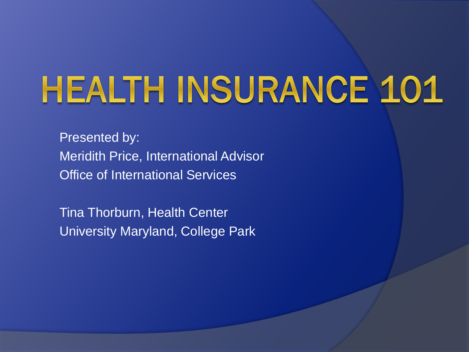# **HEALTH INSURANCE 101**

Presented by: Meridith Price, International Advisor Office of International Services

Tina Thorburn, Health Center University Maryland, College Park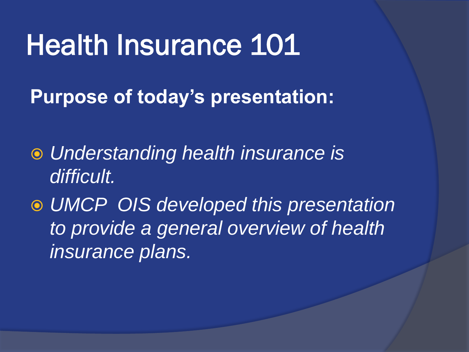### Health Insurance 101

**Purpose of today's presentation:**

- *Understanding health insurance is difficult.*
- *UMCP OIS developed this presentation to provide a general overview of health insurance plans.*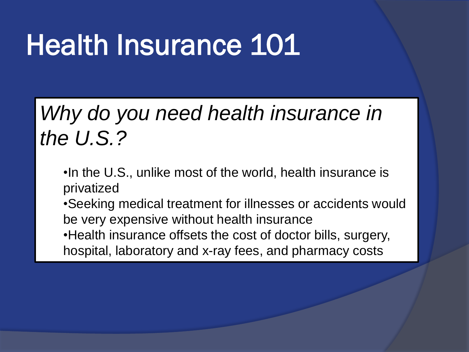## Health Insurance 101

#### *Why do you need health insurance in the U.S.?*

•In the U.S., unlike most of the world, health insurance is privatized

•Seeking medical treatment for illnesses or accidents would be very expensive without health insurance •Health insurance offsets the cost of doctor bills, surgery,

hospital, laboratory and x-ray fees, and pharmacy costs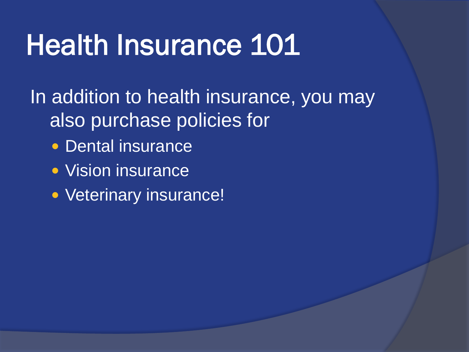## Health Insurance 101

In addition to health insurance, you may also purchase policies for

- Dental insurance
- Vision insurance
- Veterinary insurance!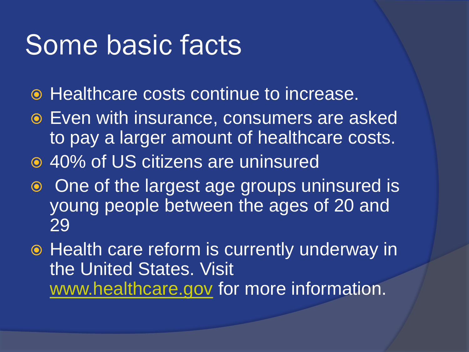### Some basic facts

- **Healthcare costs continue to increase.**
- Even with insurance, consumers are asked to pay a larger amount of healthcare costs.
- 40% of US citizens are uninsured
- o One of the largest age groups uninsured is young people between the ages of 20 and 29
- Health care reform is currently underway in the United States. Visit [www.healthcare.gov](http://www.healthcare.gov/) for more information.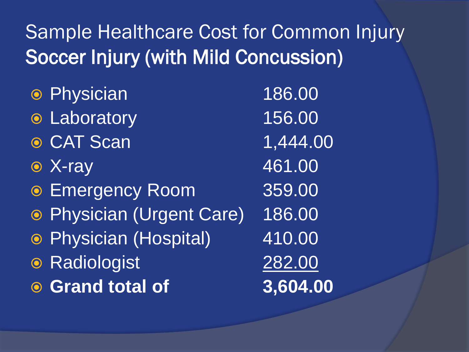#### Sample Healthcare Cost for Common Injury Soccer Injury (with Mild Concussion)

 Physician 186.00 Laboratory 156.00 ● CAT Scan 1,444.00 ■ X-ray 461.00 Emergency Room 359.00 Physician (Urgent Care) 186.00 Physician (Hospital) 410.00 Radiologist 282.00 **Grand total of 3,604.00**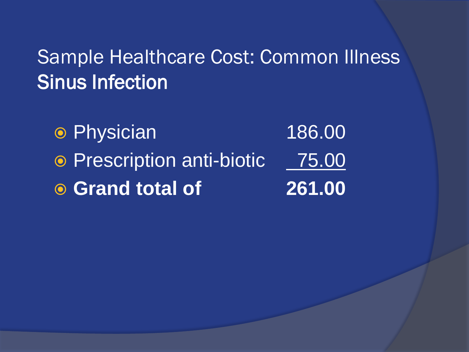#### Sample Healthcare Cost: Common Illness Sinus Infection

 Physician 186.00 • Prescription anti-biotic 75.00 **Grand total of 261.00**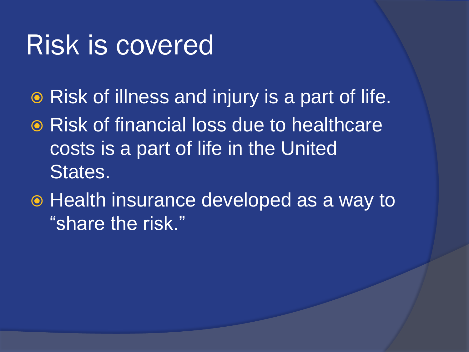### Risk is covered

- **Risk of illness and injury is a part of life.**
- **■** Risk of financial loss due to healthcare costs is a part of life in the United States.
- $\odot$  Health insurance developed as a way to "share the risk."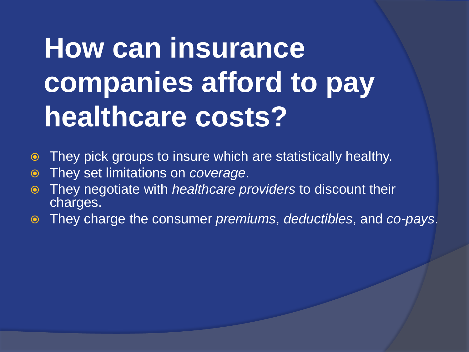## **How can insurance companies afford to pay healthcare costs?**

- They pick groups to insure which are statistically healthy.
- They set limitations on *coverage*.
- They negotiate with *healthcare providers* to discount their charges.
- They charge the consumer *premiums*, *deductibles*, and *co-pays*.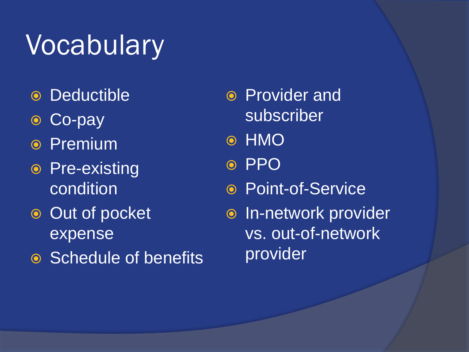## Vocabulary

- Deductible
- Co-pay
- **◎ Premium**
- Pre-existing condition
- **Out of pocket** expense
- **•** Schedule of benefits
- Provider and subscriber
- ⊙ HMO
- ⊙ PPO
- Point-of-Service
- o In-network provider vs. out-of-network provider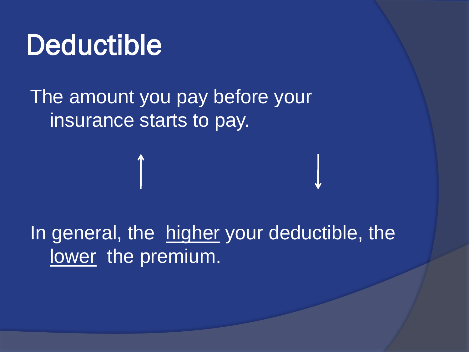### **Deductible**

#### The amount you pay before your insurance starts to pay.

#### In general, the higher your deductible, the lower the premium.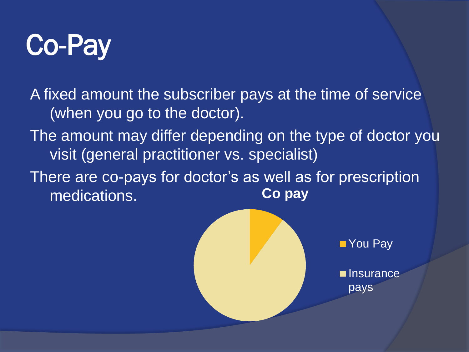

A fixed amount the subscriber pays at the time of service (when you go to the doctor).

The amount may differ depending on the type of doctor you visit (general practitioner vs. specialist)

There are co-pays for doctor's as well as for prescription medications. **Co pay**



■ You Pay

**Insurance** pays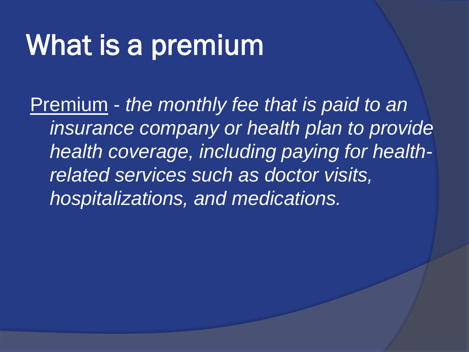## What is a premium

Premium - *the monthly fee that is paid to an insurance company or health plan to provide health coverage, including paying for healthrelated services such as doctor visits, hospitalizations, and medications.*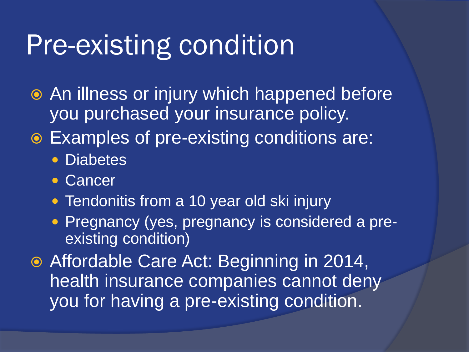### Pre-existing condition

- An illness or injury which happened before you purchased your insurance policy.
- Examples of pre-existing conditions are:
	- Diabetes
	- Cancer
	- Tendonitis from a 10 year old ski injury
	- Pregnancy (yes, pregnancy is considered a preexisting condition)
- Affordable Care Act: Beginning in 2014, health insurance companies cannot deny you for having a pre-existing condition.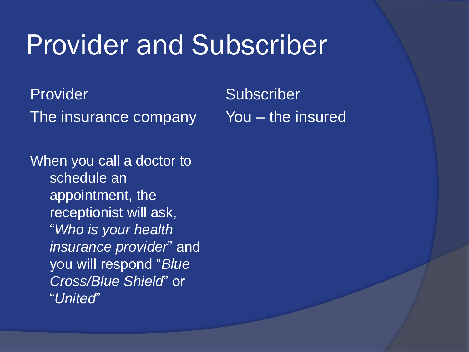### Provider and Subscriber

Provider The insurance company

When you call a doctor to schedule an appointment, the receptionist will ask, "*Who is your health insurance provider*" and you will respond "*Blue Cross/Blue Shield*" or "*United*"

**Subscriber** You – the insured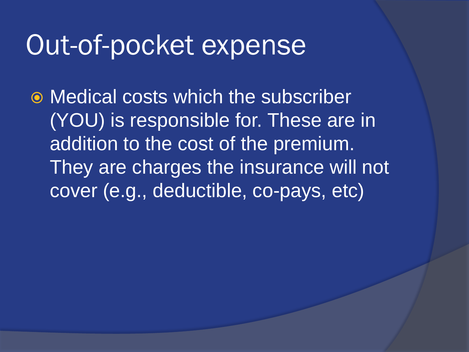### Out-of-pocket expense

 Medical costs which the subscriber (YOU) is responsible for. These are in addition to the cost of the premium. They are charges the insurance will not cover (e.g., deductible, co-pays, etc)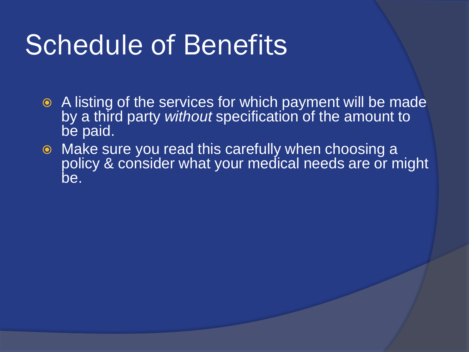### Schedule of Benefits

- A listing of the services for which payment will be made by a third party *without* specification of the amount to be paid.
- Make sure you read this carefully when choosing a policy & consider what your medical needs are or might be.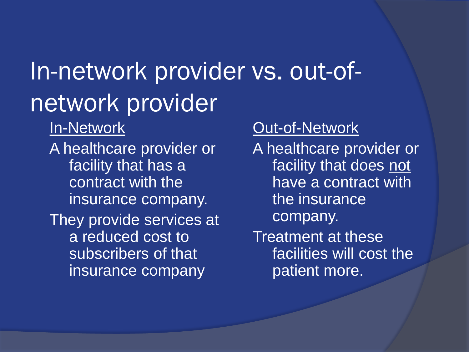### In-network provider vs. out-ofnetwork provider

In-Network

A healthcare provider or facility that has a contract with the insurance company. They provide services at a reduced cost to subscribers of that insurance company

#### Out-of-Network

A healthcare provider or facility that does not have a contract with the insurance company.

Treatment at these facilities will cost the patient more.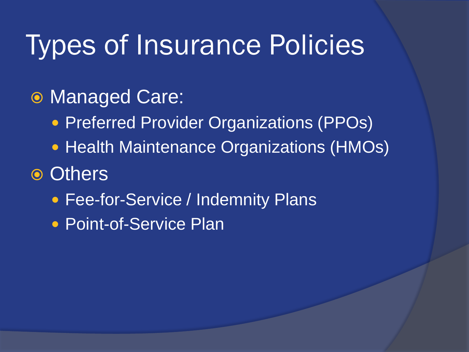### Types of Insurance Policies

#### Managed Care:

- **Preferred Provider Organizations (PPOs)**
- Health Maintenance Organizations (HMOs)

#### **⊙ Others**

- Fee-for-Service / Indemnity Plans
- Point-of-Service Plan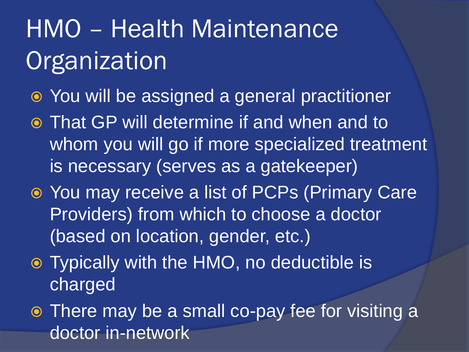## HMO – Health Maintenance **Organization**

- You will be assigned a general practitioner
- That GP will determine if and when and to whom you will go if more specialized treatment is necessary (serves as a gatekeeper)
- You may receive a list of PCPs (Primary Care Providers) from which to choose a doctor (based on location, gender, etc.)
- Typically with the HMO, no deductible is charged
- There may be a small co-pay fee for visiting a doctor in-network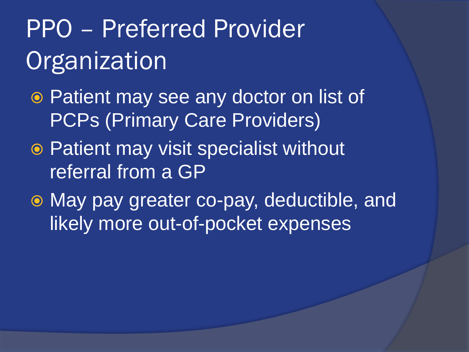## PPO – Preferred Provider **Organization**

- Patient may see any doctor on list of PCPs (Primary Care Providers)
- Patient may visit specialist without referral from a GP
- May pay greater co-pay, deductible, and likely more out-of-pocket expenses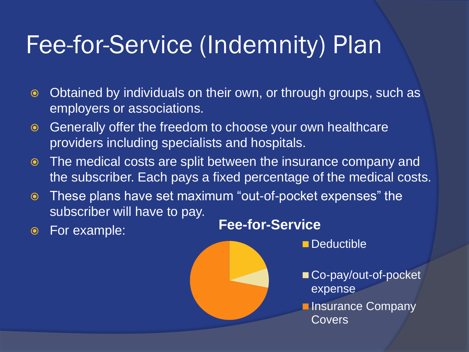### Fee-for-Service (Indemnity) Plan

- **■** Obtained by individuals on their own, or through groups, such as employers or associations.
- Generally offer the freedom to choose your own healthcare providers including specialists and hospitals.
- The medical costs are split between the insurance company and the subscriber. Each pays a fixed percentage of the medical costs.
- These plans have set maximum "out-of-pocket expenses" the subscriber will have to pay.
- 



Deductible

- Co-pay/out-of-pocket expense
- **Insurance Company Covers**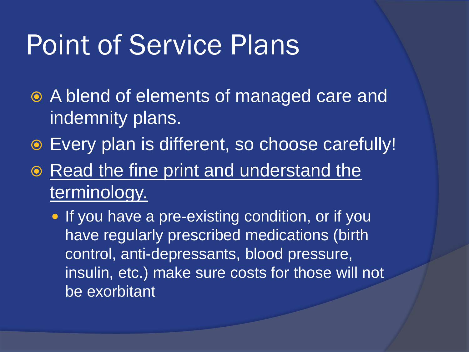### Point of Service Plans

- A blend of elements of managed care and indemnity plans.
- Every plan is different, so choose carefully!
- Read the fine print and understand the terminology.
	- If you have a pre-existing condition, or if you have regularly prescribed medications (birth control, anti-depressants, blood pressure, insulin, etc.) make sure costs for those will not be exorbitant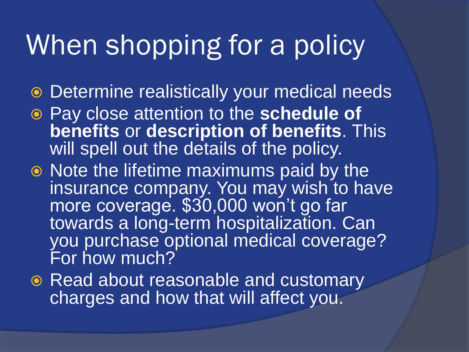### When shopping for a policy

- Determine realistically your medical needs
- Pay close attention to the **schedule of benefits** or **description of benefits**. This will spell out the details of the policy.
- Note the lifetime maximums paid by the insurance company. You may wish to have more coverage. \$30,000 won't go far towards a long-term hospitalization. Can you purchase optional medical coverage? For how much?
- Read about reasonable and customary charges and how that will affect you.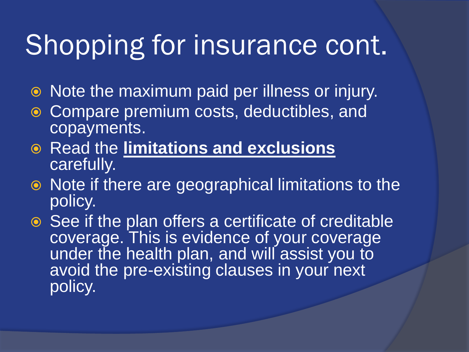### Shopping for insurance cont.

- Note the maximum paid per illness or injury.
- Compare premium costs, deductibles, and copayments.
- Read the **limitations and exclusions** carefully.
- Note if there are geographical limitations to the policy.
- **■** See if the plan offers a certificate of creditable coverage. This is evidence of your coverage under the health plan, and will assist you to avoid the pre-existing clauses in your next policy.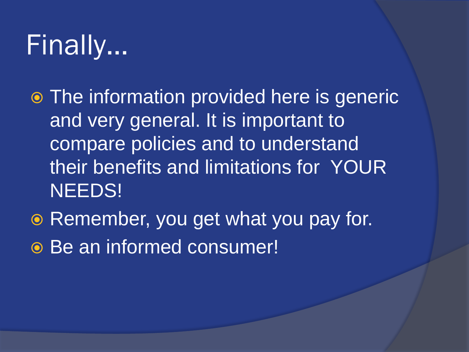## Finally…

- The information provided here is generic and very general. It is important to compare policies and to understand their benefits and limitations for YOUR NEEDS!
- Remember, you get what you pay for. Be an informed consumer!